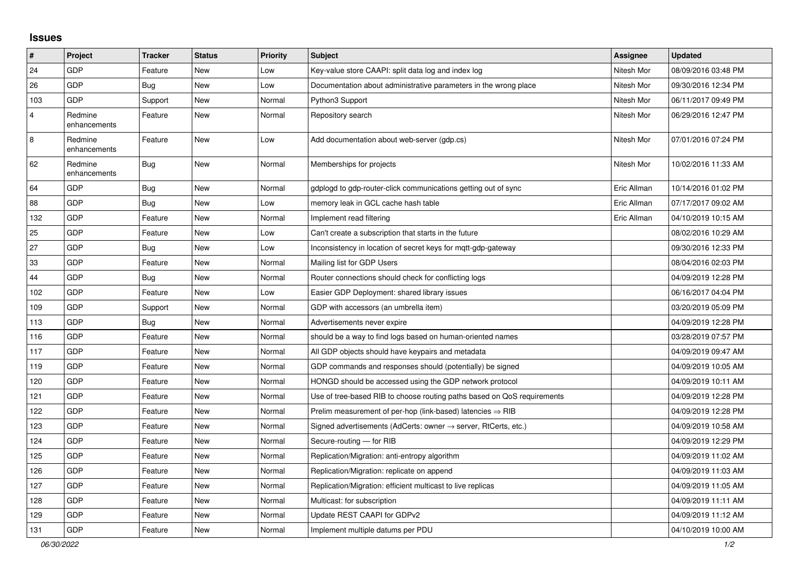## **Issues**

| $\pmb{\sharp}$ | Project                 | <b>Tracker</b> | <b>Status</b> | <b>Priority</b> | <b>Subject</b>                                                             | Assignee    | <b>Updated</b>      |
|----------------|-------------------------|----------------|---------------|-----------------|----------------------------------------------------------------------------|-------------|---------------------|
| 24             | <b>GDP</b>              | Feature        | <b>New</b>    | Low             | Key-value store CAAPI: split data log and index log                        | Nitesh Mor  | 08/09/2016 03:48 PM |
| 26             | GDP                     | Bug            | <b>New</b>    | Low             | Documentation about administrative parameters in the wrong place           | Nitesh Mor  | 09/30/2016 12:34 PM |
| 103            | <b>GDP</b>              | Support        | <b>New</b>    | Normal          | Python3 Support                                                            | Nitesh Mor  | 06/11/2017 09:49 PM |
| $\overline{4}$ | Redmine<br>enhancements | Feature        | New           | Normal          | Repository search                                                          | Nitesh Mor  | 06/29/2016 12:47 PM |
| $\bf 8$        | Redmine<br>enhancements | Feature        | <b>New</b>    | Low             | Add documentation about web-server (gdp.cs)                                | Nitesh Mor  | 07/01/2016 07:24 PM |
| 62             | Redmine<br>enhancements | <b>Bug</b>     | <b>New</b>    | Normal          | Memberships for projects                                                   | Nitesh Mor  | 10/02/2016 11:33 AM |
| 64             | <b>GDP</b>              | <b>Bug</b>     | <b>New</b>    | Normal          | gdplogd to gdp-router-click communications getting out of sync             | Eric Allman | 10/14/2016 01:02 PM |
| 88             | GDP                     | Bug            | <b>New</b>    | Low             | memory leak in GCL cache hash table                                        | Eric Allman | 07/17/2017 09:02 AM |
| 132            | GDP                     | Feature        | <b>New</b>    | Normal          | Implement read filtering                                                   | Eric Allman | 04/10/2019 10:15 AM |
| 25             | GDP                     | Feature        | New           | Low             | Can't create a subscription that starts in the future                      |             | 08/02/2016 10:29 AM |
| 27             | <b>GDP</b>              | Bug            | <b>New</b>    | Low             | Inconsistency in location of secret keys for mqtt-gdp-gateway              |             | 09/30/2016 12:33 PM |
| 33             | <b>GDP</b>              | Feature        | <b>New</b>    | Normal          | Mailing list for GDP Users                                                 |             | 08/04/2016 02:03 PM |
| 44             | GDP                     | <b>Bug</b>     | <b>New</b>    | Normal          | Router connections should check for conflicting logs                       |             | 04/09/2019 12:28 PM |
| 102            | <b>GDP</b>              | Feature        | <b>New</b>    | Low             | Easier GDP Deployment: shared library issues                               |             | 06/16/2017 04:04 PM |
| 109            | GDP                     | Support        | <b>New</b>    | Normal          | GDP with accessors (an umbrella item)                                      |             | 03/20/2019 05:09 PM |
| 113            | <b>GDP</b>              | <b>Bug</b>     | <b>New</b>    | Normal          | Advertisements never expire                                                |             | 04/09/2019 12:28 PM |
| 116            | GDP                     | Feature        | <b>New</b>    | Normal          | should be a way to find logs based on human-oriented names                 |             | 03/28/2019 07:57 PM |
| 117            | <b>GDP</b>              | Feature        | <b>New</b>    | Normal          | All GDP objects should have keypairs and metadata                          |             | 04/09/2019 09:47 AM |
| 119            | <b>GDP</b>              | Feature        | <b>New</b>    | Normal          | GDP commands and responses should (potentially) be signed                  |             | 04/09/2019 10:05 AM |
| 120            | GDP                     | Feature        | New           | Normal          | HONGD should be accessed using the GDP network protocol                    |             | 04/09/2019 10:11 AM |
| 121            | <b>GDP</b>              | Feature        | <b>New</b>    | Normal          | Use of tree-based RIB to choose routing paths based on QoS requirements    |             | 04/09/2019 12:28 PM |
| 122            | <b>GDP</b>              | Feature        | <b>New</b>    | Normal          | Prelim measurement of per-hop (link-based) latencies $\Rightarrow$ RIB     |             | 04/09/2019 12:28 PM |
| 123            | <b>GDP</b>              | Feature        | <b>New</b>    | Normal          | Signed advertisements (AdCerts: owner $\rightarrow$ server, RtCerts, etc.) |             | 04/09/2019 10:58 AM |
| 124            | <b>GDP</b>              | Feature        | <b>New</b>    | Normal          | Secure-routing - for RIB                                                   |             | 04/09/2019 12:29 PM |
| 125            | <b>GDP</b>              | Feature        | <b>New</b>    | Normal          | Replication/Migration: anti-entropy algorithm                              |             | 04/09/2019 11:02 AM |
| 126            | GDP                     | Feature        | <b>New</b>    | Normal          | Replication/Migration: replicate on append                                 |             | 04/09/2019 11:03 AM |
| 127            | <b>GDP</b>              | Feature        | <b>New</b>    | Normal          | Replication/Migration: efficient multicast to live replicas                |             | 04/09/2019 11:05 AM |
| 128            | <b>GDP</b>              | Feature        | New           | Normal          | Multicast: for subscription                                                |             | 04/09/2019 11:11 AM |
| 129            | GDP                     | Feature        | <b>New</b>    | Normal          | Update REST CAAPI for GDPv2                                                |             | 04/09/2019 11:12 AM |
| 131            | <b>GDP</b>              | Feature        | New           | Normal          | Implement multiple datums per PDU                                          |             | 04/10/2019 10:00 AM |